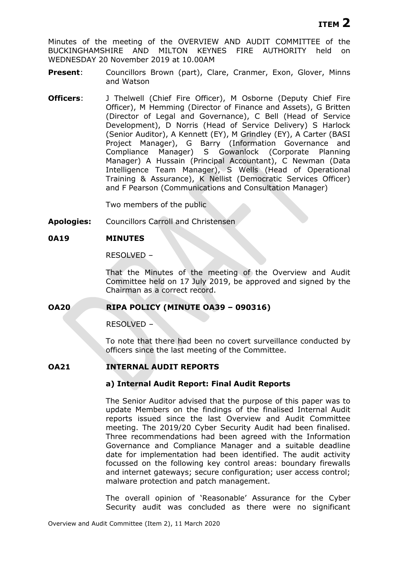Minutes of the meeting of the OVERVIEW AND AUDIT COMMITTEE of the BUCKINGHAMSHIRE AND MILTON KEYNES FIRE AUTHORITY held on WEDNESDAY 20 November 2019 at 10.00AM

- **Present:** Councillors Brown (part), Clare, Cranmer, Exon, Glover, Minns and Watson
- **Officers:** J Thelwell (Chief Fire Officer), M Osborne (Deputy Chief Fire Officer), M Hemming (Director of Finance and Assets), G Britten (Director of Legal and Governance), C Bell (Head of Service Development), D Norris (Head of Service Delivery) S Harlock (Senior Auditor), A Kennett (EY), M Grindley (EY), A Carter (BASI Project Manager), G Barry (Information Governance and Compliance Manager) S Gowanlock (Corporate Planning Manager) A Hussain (Principal Accountant), C Newman (Data Intelligence Team Manager), S Wells (Head of Operational Training & Assurance), K Nellist (Democratic Services Officer) and F Pearson (Communications and Consultation Manager)

Two members of the public

**Apologies:** Councillors Carroll and Christensen

# **0A19 MINUTES**

RESOLVED –

That the Minutes of the meeting of the Overview and Audit Committee held on 17 July 2019, be approved and signed by the Chairman as a correct record.

### **OA20 RIPA POLICY (MINUTE OA39 – 090316)**

RESOLVED –

To note that there had been no covert surveillance conducted by officers since the last meeting of the Committee.

### **OA21 INTERNAL AUDIT REPORTS**

### **a) Internal Audit Report: Final Audit Reports**

The Senior Auditor advised that the purpose of this paper was to update Members on the findings of the finalised Internal Audit reports issued since the last Overview and Audit Committee meeting. The 2019/20 Cyber Security Audit had been finalised. Three recommendations had been agreed with the Information Governance and Compliance Manager and a suitable deadline date for implementation had been identified. The audit activity focussed on the following key control areas: boundary firewalls and internet gateways; secure configuration; user access control; malware protection and patch management.

The overall opinion of 'Reasonable' Assurance for the Cyber Security audit was concluded as there were no significant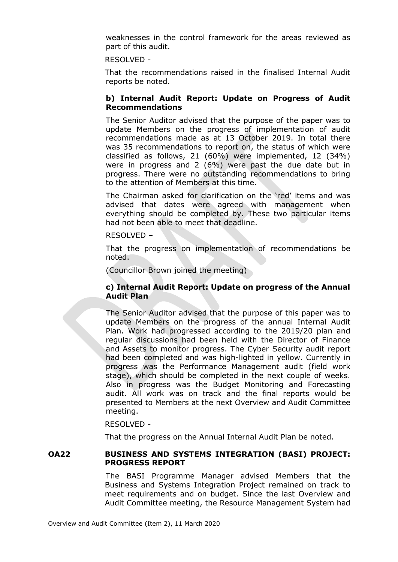weaknesses in the control framework for the areas reviewed as part of this audit.

### RESOLVED -

That the recommendations raised in the finalised Internal Audit reports be noted.

# **b) Internal Audit Report: Update on Progress of Audit Recommendations**

The Senior Auditor advised that the purpose of the paper was to update Members on the progress of implementation of audit recommendations made as at 13 October 2019. In total there was 35 recommendations to report on, the status of which were classified as follows, 21 (60%) were implemented, 12 (34%) were in progress and 2 (6%) were past the due date but in progress. There were no outstanding recommendations to bring to the attention of Members at this time.

The Chairman asked for clarification on the 'red' items and was advised that dates were agreed with management when everything should be completed by. These two particular items had not been able to meet that deadline.

### RESOLVED –

That the progress on implementation of recommendations be noted.

(Councillor Brown joined the meeting)

# **c) Internal Audit Report: Update on progress of the Annual Audit Plan**

The Senior Auditor advised that the purpose of this paper was to update Members on the progress of the annual Internal Audit Plan. Work had progressed according to the 2019/20 plan and regular discussions had been held with the Director of Finance and Assets to monitor progress. The Cyber Security audit report had been completed and was high-lighted in yellow. Currently in progress was the Performance Management audit (field work stage), which should be completed in the next couple of weeks. Also in progress was the Budget Monitoring and Forecasting audit. All work was on track and the final reports would be presented to Members at the next Overview and Audit Committee meeting.

### RESOLVED -

That the progress on the Annual Internal Audit Plan be noted.

### **OA22 BUSINESS AND SYSTEMS INTEGRATION (BASI) PROJECT: PROGRESS REPORT**

The BASI Programme Manager advised Members that the Business and Systems Integration Project remained on track to meet requirements and on budget. Since the last Overview and Audit Committee meeting, the Resource Management System had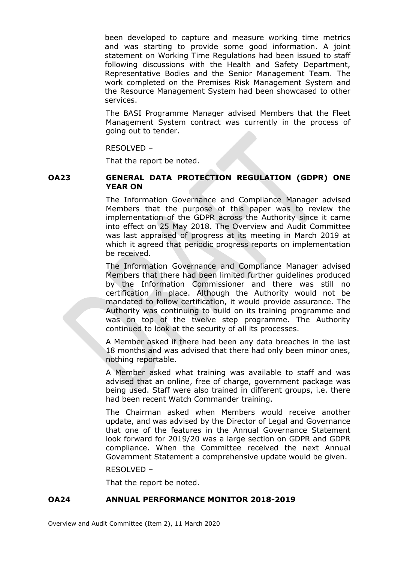been developed to capture and measure working time metrics and was starting to provide some good information. A joint statement on Working Time Regulations had been issued to staff following discussions with the Health and Safety Department, Representative Bodies and the Senior Management Team. The work completed on the Premises Risk Management System and the Resource Management System had been showcased to other services.

The BASI Programme Manager advised Members that the Fleet Management System contract was currently in the process of going out to tender.

RESOLVED –

That the report be noted.

# **OA23 GENERAL DATA PROTECTION REGULATION (GDPR) ONE YEAR ON**

The Information Governance and Compliance Manager advised Members that the purpose of this paper was to review the implementation of the GDPR across the Authority since it came into effect on 25 May 2018. The Overview and Audit Committee was last appraised of progress at its meeting in March 2019 at which it agreed that periodic progress reports on implementation be received.

The Information Governance and Compliance Manager advised Members that there had been limited further guidelines produced by the Information Commissioner and there was still no certification in place. Although the Authority would not be mandated to follow certification, it would provide assurance. The Authority was continuing to build on its training programme and was on top of the twelve step programme. The Authority continued to look at the security of all its processes.

A Member asked if there had been any data breaches in the last 18 months and was advised that there had only been minor ones, nothing reportable.

A Member asked what training was available to staff and was advised that an online, free of charge, government package was being used. Staff were also trained in different groups, i.e. there had been recent Watch Commander training.

The Chairman asked when Members would receive another update, and was advised by the Director of Legal and Governance that one of the features in the Annual Governance Statement look forward for 2019/20 was a large section on GDPR and GDPR compliance. When the Committee received the next Annual Government Statement a comprehensive update would be given.

RESOLVED –

That the report be noted.

# **OA24 ANNUAL PERFORMANCE MONITOR 2018-2019**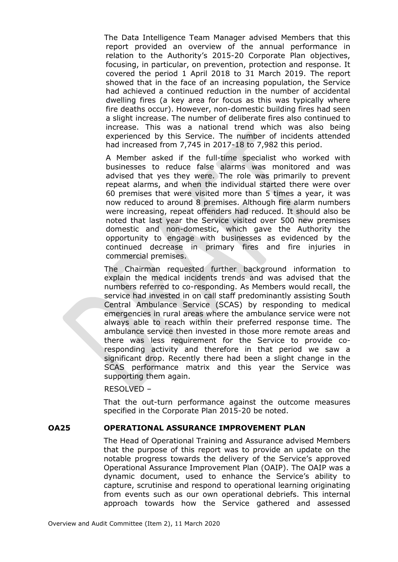The Data Intelligence Team Manager advised Members that this report provided an overview of the annual performance in relation to the Authority's 2015-20 Corporate Plan objectives, focusing, in particular, on prevention, protection and response. It covered the period 1 April 2018 to 31 March 2019. The report showed that in the face of an increasing population, the Service had achieved a continued reduction in the number of accidental dwelling fires (a key area for focus as this was typically where fire deaths occur). However, non-domestic building fires had seen a slight increase. The number of deliberate fires also continued to increase. This was a national trend which was also being experienced by this Service. The number of incidents attended had increased from 7,745 in 2017-18 to 7,982 this period.

A Member asked if the full-time specialist who worked with businesses to reduce false alarms was monitored and was advised that yes they were. The role was primarily to prevent repeat alarms, and when the individual started there were over 60 premises that were visited more than 5 times a year, it was now reduced to around 8 premises. Although fire alarm numbers were increasing, repeat offenders had reduced. It should also be noted that last year the Service visited over 500 new premises domestic and non-domestic, which gave the Authority the opportunity to engage with businesses as evidenced by the continued decrease in primary fires and fire injuries in commercial premises.

The Chairman requested further background information to explain the medical incidents trends and was advised that the numbers referred to co-responding. As Members would recall, the service had invested in on call staff predominantly assisting South Central Ambulance Service (SCAS) by responding to medical emergencies in rural areas where the ambulance service were not always able to reach within their preferred response time. The ambulance service then invested in those more remote areas and there was less requirement for the Service to provide coresponding activity and therefore in that period we saw a significant drop. Recently there had been a slight change in the SCAS performance matrix and this year the Service was supporting them again.

RESOLVED –

That the out-turn performance against the outcome measures specified in the Corporate Plan 2015-20 be noted.

### **OA25 OPERATIONAL ASSURANCE IMPROVEMENT PLAN**

The Head of Operational Training and Assurance advised Members that the purpose of this report was to provide an update on the notable progress towards the delivery of the Service's approved Operational Assurance Improvement Plan (OAIP). The OAIP was a dynamic document, used to enhance the Service's ability to capture, scrutinise and respond to operational learning originating from events such as our own operational debriefs. This internal approach towards how the Service gathered and assessed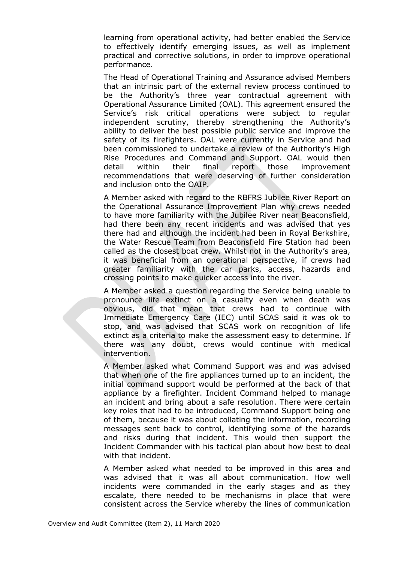learning from operational activity, had better enabled the Service to effectively identify emerging issues, as well as implement practical and corrective solutions, in order to improve operational performance.

The Head of Operational Training and Assurance advised Members that an intrinsic part of the external review process continued to be the Authority's three year contractual agreement with Operational Assurance Limited (OAL). This agreement ensured the Service's risk critical operations were subject to regular independent scrutiny, thereby strengthening the Authority's ability to deliver the best possible public service and improve the safety of its firefighters. OAL were currently in Service and had been commissioned to undertake a review of the Authority's High Rise Procedures and Command and Support. OAL would then detail within their final report those improvement recommendations that were deserving of further consideration and inclusion onto the OAIP.

A Member asked with regard to the RBFRS Jubilee River Report on the Operational Assurance Improvement Plan why crews needed to have more familiarity with the Jubilee River near Beaconsfield, had there been any recent incidents and was advised that yes there had and although the incident had been in Royal Berkshire, the Water Rescue Team from Beaconsfield Fire Station had been called as the closest boat crew. Whilst not in the Authority's area, it was beneficial from an operational perspective, if crews had greater familiarity with the car parks, access, hazards and crossing points to make quicker access into the river.

A Member asked a question regarding the Service being unable to pronounce life extinct on a casualty even when death was obvious, did that mean that crews had to continue with Immediate Emergency Care (IEC) until SCAS said it was ok to stop, and was advised that SCAS work on recognition of life extinct as a criteria to make the assessment easy to determine. If there was any doubt, crews would continue with medical intervention.

A Member asked what Command Support was and was advised that when one of the fire appliances turned up to an incident, the initial command support would be performed at the back of that appliance by a firefighter. Incident Command helped to manage an incident and bring about a safe resolution. There were certain key roles that had to be introduced, Command Support being one of them, because it was about collating the information, recording messages sent back to control, identifying some of the hazards and risks during that incident. This would then support the Incident Commander with his tactical plan about how best to deal with that incident.

A Member asked what needed to be improved in this area and was advised that it was all about communication. How well incidents were commanded in the early stages and as they escalate, there needed to be mechanisms in place that were consistent across the Service whereby the lines of communication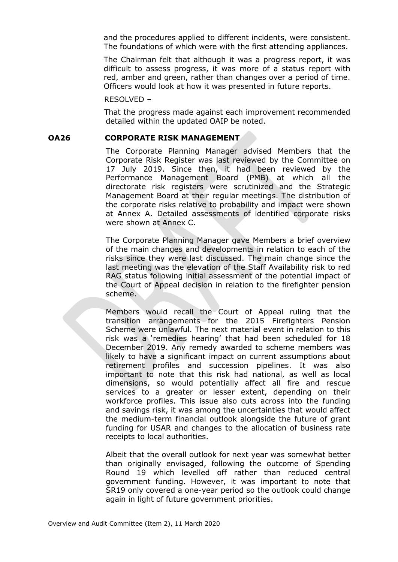and the procedures applied to different incidents, were consistent. The foundations of which were with the first attending appliances.

The Chairman felt that although it was a progress report, it was difficult to assess progress, it was more of a status report with red, amber and green, rather than changes over a period of time. Officers would look at how it was presented in future reports.

RESOLVED –

That the progress made against each improvement recommended detailed within the updated OAIP be noted.

#### **OA26 CORPORATE RISK MANAGEMENT**

The Corporate Planning Manager advised Members that the Corporate Risk Register was last reviewed by the Committee on 17 July 2019. Since then, it had been reviewed by the Performance Management Board (PMB) at which all the directorate risk registers were scrutinized and the Strategic Management Board at their regular meetings. The distribution of the corporate risks relative to probability and impact were shown at Annex A. Detailed assessments of identified corporate risks were shown at Annex C.

The Corporate Planning Manager gave Members a brief overview of the main changes and developments in relation to each of the risks since they were last discussed. The main change since the last meeting was the elevation of the Staff Availability risk to red RAG status following initial assessment of the potential impact of the Court of Appeal decision in relation to the firefighter pension scheme.

Members would recall the Court of Appeal ruling that the transition arrangements for the 2015 Firefighters Pension Scheme were unlawful. The next material event in relation to this risk was a 'remedies hearing' that had been scheduled for 18 December 2019. Any remedy awarded to scheme members was likely to have a significant impact on current assumptions about retirement profiles and succession pipelines. It was also important to note that this risk had national, as well as local dimensions, so would potentially affect all fire and rescue services to a greater or lesser extent, depending on their workforce profiles. This issue also cuts across into the funding and savings risk, it was among the uncertainties that would affect the medium-term financial outlook alongside the future of grant funding for USAR and changes to the allocation of business rate receipts to local authorities.

Albeit that the overall outlook for next year was somewhat better than originally envisaged, following the outcome of Spending Round 19 which levelled off rather than reduced central government funding. However, it was important to note that SR19 only covered a one-year period so the outlook could change again in light of future government priorities.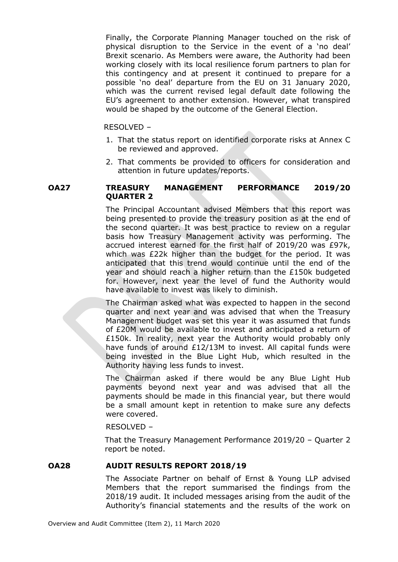Finally, the Corporate Planning Manager touched on the risk of physical disruption to the Service in the event of a 'no deal' Brexit scenario. As Members were aware, the Authority had been working closely with its local resilience forum partners to plan for this contingency and at present it continued to prepare for a possible 'no deal' departure from the EU on 31 January 2020, which was the current revised legal default date following the EU's agreement to another extension. However, what transpired would be shaped by the outcome of the General Election.

### RESOLVED –

- 1. That the status report on identified corporate risks at Annex C be reviewed and approved.
- 2. That comments be provided to officers for consideration and attention in future updates/reports.

# **OA27 TREASURY MANAGEMENT PERFORMANCE 2019/20 QUARTER 2**

The Principal Accountant advised Members that this report was being presented to provide the treasury position as at the end of the second quarter. It was best practice to review on a regular basis how Treasury Management activity was performing. The accrued interest earned for the first half of 2019/20 was £97k, which was £22k higher than the budget for the period. It was anticipated that this trend would continue until the end of the year and should reach a higher return than the £150k budgeted for. However, next year the level of fund the Authority would have available to invest was likely to diminish.

The Chairman asked what was expected to happen in the second quarter and next year and was advised that when the Treasury Management budget was set this year it was assumed that funds of £20M would be available to invest and anticipated a return of £150k. In reality, next year the Authority would probably only have funds of around £12/13M to invest. All capital funds were being invested in the Blue Light Hub, which resulted in the Authority having less funds to invest.

The Chairman asked if there would be any Blue Light Hub payments beyond next year and was advised that all the payments should be made in this financial year, but there would be a small amount kept in retention to make sure any defects were covered.

#### RESOLVED –

That the Treasury Management Performance 2019/20 – Quarter 2 report be noted.

### **OA28 AUDIT RESULTS REPORT 2018/19**

The Associate Partner on behalf of Ernst & Young LLP advised Members that the report summarised the findings from the 2018/19 audit. It included messages arising from the audit of the Authority's financial statements and the results of the work on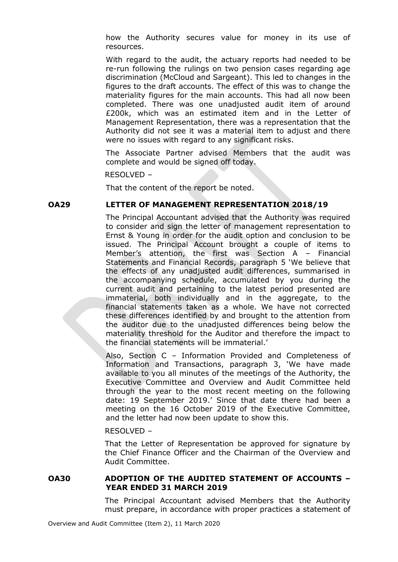how the Authority secures value for money in its use of resources.

With regard to the audit, the actuary reports had needed to be re-run following the rulings on two pension cases regarding age discrimination (McCloud and Sargeant). This led to changes in the figures to the draft accounts. The effect of this was to change the materiality figures for the main accounts. This had all now been completed. There was one unadjusted audit item of around £200k, which was an estimated item and in the Letter of Management Representation, there was a representation that the Authority did not see it was a material item to adjust and there were no issues with regard to any significant risks.

The Associate Partner advised Members that the audit was complete and would be signed off today.

RESOLVED –

That the content of the report be noted.

#### **OA29 LETTER OF MANAGEMENT REPRESENTATION 2018/19**

The Principal Accountant advised that the Authority was required to consider and sign the letter of management representation to Ernst & Young in order for the audit option and conclusion to be issued. The Principal Account brought a couple of items to Member's attention, the first was Section A – Financial Statements and Financial Records, paragraph 5 'We believe that the effects of any unadjusted audit differences, summarised in the accompanying schedule, accumulated by you during the current audit and pertaining to the latest period presented are immaterial, both individually and in the aggregate, to the financial statements taken as a whole. We have not corrected these differences identified by and brought to the attention from the auditor due to the unadjusted differences being below the materiality threshold for the Auditor and therefore the impact to the financial statements will be immaterial.'

Also, Section C – Information Provided and Completeness of Information and Transactions, paragraph 3, 'We have made available to you all minutes of the meetings of the Authority, the Executive Committee and Overview and Audit Committee held through the year to the most recent meeting on the following date: 19 September 2019.' Since that date there had been a meeting on the 16 October 2019 of the Executive Committee, and the letter had now been update to show this.

#### RESOLVED –

That the Letter of Representation be approved for signature by the Chief Finance Officer and the Chairman of the Overview and Audit Committee.

## **OA30 ADOPTION OF THE AUDITED STATEMENT OF ACCOUNTS – YEAR ENDED 31 MARCH 2019**

The Principal Accountant advised Members that the Authority must prepare, in accordance with proper practices a statement of